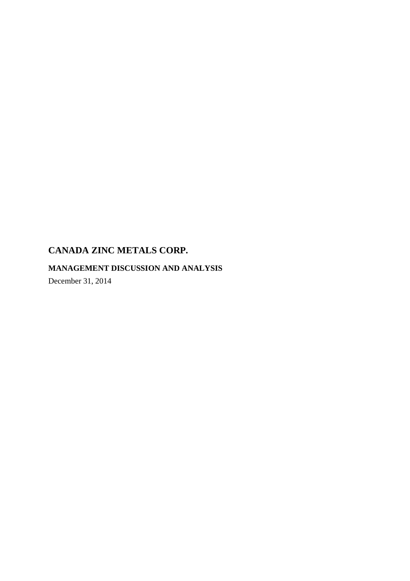## **MANAGEMENT DISCUSSION AND ANALYSIS**

December 31, 2014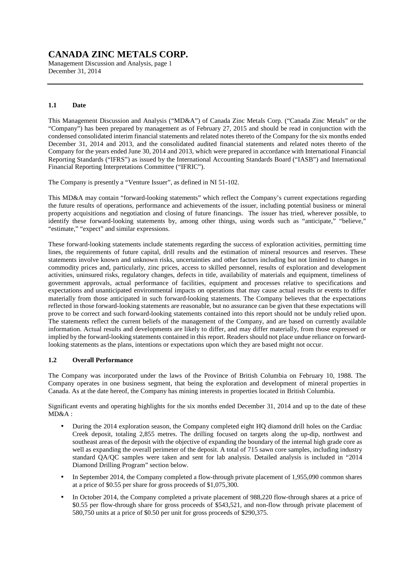Management Discussion and Analysis, page 1 December 31, 2014

## **1.1 Date**

This Management Discussion and Analysis ("MD&A") of Canada Zinc Metals Corp. ("Canada Zinc Metals" or the "Company") has been prepared by management as of February 27, 2015 and should be read in conjunction with the condensed consolidated interim financial statements and related notes thereto of the Company for the six months ended December 31, 2014 and 2013, and the consolidated audited financial statements and related notes thereto of the Company for the years ended June 30, 2014 and 2013, which were prepared in accordance with International Financial Reporting Standards ("IFRS") as issued by the International Accounting Standards Board ("IASB") and International Financial Reporting Interpretations Committee ("IFRIC").

The Company is presently a "Venture Issuer", as defined in NI 51-102.

This MD&A may contain "forward-looking statements" which reflect the Company's current expectations regarding the future results of operations, performance and achievements of the issuer, including potential business or mineral property acquisitions and negotiation and closing of future financings. The issuer has tried, wherever possible, to identify these forward-looking statements by, among other things, using words such as "anticipate," "believe," "estimate," "expect" and similar expressions.

These forward-looking statements include statements regarding the success of exploration activities, permitting time lines, the requirements of future capital, drill results and the estimation of mineral resources and reserves. These statements involve known and unknown risks, uncertainties and other factors including but not limited to changes in commodity prices and, particularly, zinc prices, access to skilled personnel, results of exploration and development activities, uninsured risks, regulatory changes, defects in title, availability of materials and equipment, timeliness of government approvals, actual performance of facilities, equipment and processes relative to specifications and expectations and unanticipated environmental impacts on operations that may cause actual results or events to differ materially from those anticipated in such forward-looking statements. The Company believes that the expectations reflected in those forward-looking statements are reasonable, but no assurance can be given that these expectations will prove to be correct and such forward-looking statements contained into this report should not be unduly relied upon. The statements reflect the current beliefs of the management of the Company, and are based on currently available information. Actual results and developments are likely to differ, and may differ materially, from those expressed or implied by the forward-looking statements contained in this report. Readers should not place undue reliance on forwardlooking statements as the plans, intentions or expectations upon which they are based might not occur.

### **1.2 Overall Performance**

The Company was incorporated under the laws of the Province of British Columbia on February 10, 1988. The Company operates in one business segment, that being the exploration and development of mineral properties in Canada. As at the date hereof, the Company has mining interests in properties located in British Columbia.

Significant events and operating highlights for the six months ended December 31, 2014 and up to the date of these MD&A :

- During the 2014 exploration season, the Company completed eight HQ diamond drill holes on the Cardiac Creek deposit, totaling 2,855 metres. The drilling focused on targets along the up-dip, northwest and southeast areas of the deposit with the objective of expanding the boundary of the internal high grade core as well as expanding the overall perimeter of the deposit. A total of 715 sawn core samples, including industry standard  $\hat{O}A/OC$  samples were taken and sent for lab analysis. Detailed analysis is included in "2014 Diamond Drilling Program" section below.
- In September 2014, the Company completed a flow-through private placement of 1,955,090 common shares at a price of \$0.55 per share for gross proceeds of \$1,075,300.
- In October 2014, the Company completed a private placement of 988,220 flow-through shares at a price of \$0.55 per flow-through share for gross proceeds of \$543,521, and non-flow through private placement of 580,750 units at a price of \$0.50 per unit for gross proceeds of \$290,375.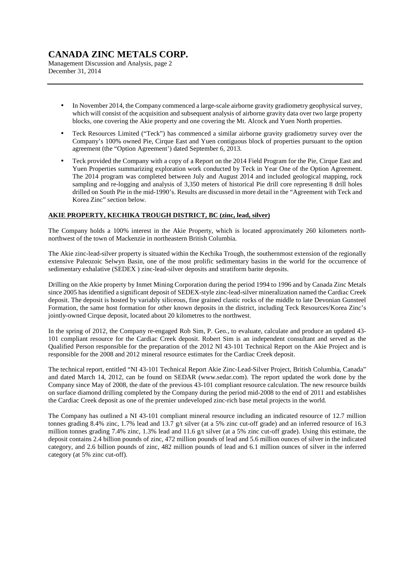Management Discussion and Analysis, page 2 December 31, 2014

- In November 2014, the Company commenced a large-scale airborne gravity gradiometry geophysical survey, which will consist of the acquisition and subsequent analysis of airborne gravity data over two large property blocks, one covering the Akie property and one covering the Mt. Alcock and Yuen North properties.
- Teck Resources Limited ("Teck") has commenced a similar airborne gravity gradiometry survey over the Company's 100% owned Pie, Cirque East and Yuen contiguous block of properties pursuant to the option agreement (the "Option Agreement') dated September 6, 2013.
- Teck provided the Company with a copy of a Report on the 2014 Field Program for the Pie, Cirque East and Yuen Properties summarizing exploration work conducted by Teck in Year One of the Option Agreement. The 2014 program was completed between July and August 2014 and included geological mapping, rock sampling and re-logging and analysis of 3,350 meters of historical Pie drill core representing 8 drill holes drilled on South Pie in the mid-1990's. Results are discussed in more detail in the "Agreement with Teck and Korea Zinc" section below.

## **AKIE PROPERTY, KECHIKA TROUGH DISTRICT, BC (zinc, lead, silver)**

The Company holds a 100% interest in the Akie Property, which is located approximately 260 kilometers northnorthwest of the town of Mackenzie in northeastern British Columbia.

The Akie zinc-lead-silver property is situated within the Kechika Trough, the southernmost extension of the regionally extensive Paleozoic Selwyn Basin, one of the most prolific sedimentary basins in the world for the occurrence of sedimentary exhalative (SEDEX ) zinc-lead-silver deposits and stratiform barite deposits.

Drilling on the Akie property by Inmet Mining Corporation during the period 1994 to 1996 and by Canada Zinc Metals since 2005 has identified a significant deposit of SEDEX-style zinc-lead-silver mineralization named the Cardiac Creek deposit. The deposit is hosted by variably siliceous, fine grained clastic rocks of the middle to late Devonian Gunsteel Formation, the same host formation for other known deposits in the district, including Teck Resources/Korea Zinc's jointly-owned Cirque deposit, located about 20 kilometres to the northwest.

In the spring of 2012, the Company re-engaged Rob Sim, P. Geo., to evaluate, calculate and produce an updated 43- 101 compliant resource for the Cardiac Creek deposit. Robert Sim is an independent consultant and served as the Qualified Person responsible for the preparation of the 2012 NI 43-101 Technical Report on the Akie Project and is responsible for the 2008 and 2012 mineral resource estimates for the Cardiac Creek deposit.

The technical report, entitled "NI 43-101 Technical Report Akie Zinc-Lead-Silver Project, British Columbia, Canada" and dated March 14, 2012, can be found on SEDAR (www.sedar.com). The report updated the work done by the Company since May of 2008, the date of the previous 43-101 compliant resource calculation. The new resource builds on surface diamond drilling completed by the Company during the period mid-2008 to the end of 2011 and establishes the Cardiac Creek deposit as one of the premier undeveloped zinc-rich base metal projects in the world.

The Company has outlined a NI 43-101 compliant mineral resource including an indicated resource of 12.7 million tonnes grading 8.4% zinc, 1.7% lead and 13.7 g/t silver (at a 5% zinc cut-off grade) and an inferred resource of 16.3 million tonnes grading 7.4% zinc, 1.3% lead and 11.6 g/t silver (at a 5% zinc cut-off grade). Using this estimate, the deposit contains 2.4 billion pounds of zinc, 472 million pounds of lead and 5.6 million ounces of silver in the indicated category, and 2.6 billion pounds of zinc, 482 million pounds of lead and 6.1 million ounces of silver in the inferred category (at 5% zinc cut-off).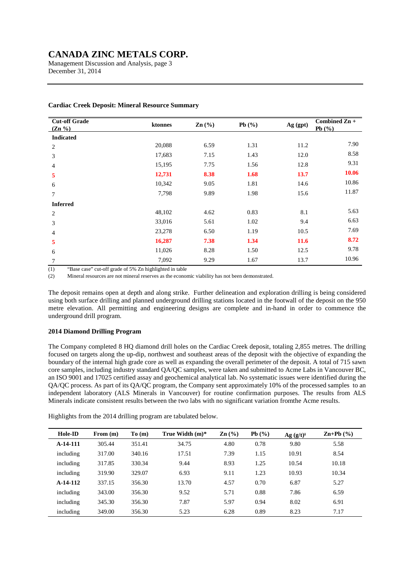Management Discussion and Analysis, page 3 December 31, 2014

| <b>Cut-off Grade</b><br>$(Zn\% )$ | ktonnes | $\text{Zn}(\%)$ | Pb $(\%)$ | Ag (gpt)    | Combined Zn +<br>Pb $(%$ |
|-----------------------------------|---------|-----------------|-----------|-------------|--------------------------|
| <b>Indicated</b>                  |         |                 |           |             |                          |
| 2                                 | 20,088  | 6.59            | 1.31      | 11.2        | 7.90                     |
| 3                                 | 17,683  | 7.15            | 1.43      | 12.0        | 8.58                     |
| 4                                 | 15,195  | 7.75            | 1.56      | 12.8        | 9.31                     |
| 5                                 | 12,731  | 8.38            | 1.68      | 13.7        | 10.06                    |
| 6                                 | 10,342  | 9.05            | 1.81      | 14.6        | 10.86                    |
| 7                                 | 7,798   | 9.89            | 1.98      | 15.6        | 11.87                    |
| <b>Inferred</b>                   |         |                 |           |             |                          |
| $\overline{c}$                    | 48,102  | 4.62            | 0.83      | 8.1         | 5.63                     |
| 3                                 | 33,016  | 5.61            | 1.02      | 9.4         | 6.63                     |
| 4                                 | 23,278  | 6.50            | 1.19      | 10.5        | 7.69                     |
| 5                                 | 16,287  | 7.38            | 1.34      | <b>11.6</b> | 8.72                     |
| 6                                 | 11,026  | 8.28            | 1.50      | 12.5        | 9.78                     |
| 7                                 | 7,092   | 9.29            | 1.67      | 13.7        | 10.96                    |

### **Cardiac Creek Deposit: Mineral Resource Summary**

(1) "Base case" cut-off grade of 5% Zn highlighted in table

(2) Mineral resources are not mineral reserves as the economic viability has not been demonstrated.

The deposit remains open at depth and along strike. Further delineation and exploration drilling is being considered using both surface drilling and planned underground drilling stations located in the footwall of the deposit on the 950 metre elevation. All permitting and engineering designs are complete and in-hand in order to commence the underground drill program.

### **2014 Diamond Drilling Program**

The Company completed 8 HQ diamond drill holes on the Cardiac Creek deposit, totaling 2,855 metres. The drilling focused on targets along the up-dip, northwest and southeast areas of the deposit with the objective of expanding the boundary of the internal high grade core as well as expanding the overall perimeter of the deposit. A total of 715 sawn core samples, including industry standard QA/QC samples, were taken and submitted to Acme Labs in Vancouver BC, an ISO 9001 and 17025 certified assay and geochemical analytical lab. No systematic issues were identified during the QA/QC process. As part of its QA/QC program, the Company sent approximately 10% of the processed samples to an independent laboratory (ALS Minerals in Vancouver) for routine confirmation purposes. The results from ALS Minerals indicate consistent results between the two labs with no significant variation fromthe Acme results.

Highlights from the 2014 drilling program are tabulated below.

| Hole-ID   | From $(m)$ | To(m)  | True Width $(m)^*$ | $\mathbf{Zn}$ (%) | Pb(%) | $Ag (g/t)$ <sup>+</sup> | $\mathbf{Zn} + \mathbf{Pb}$ (%) |
|-----------|------------|--------|--------------------|-------------------|-------|-------------------------|---------------------------------|
| A-14-111  | 305.44     | 351.41 | 34.75              | 4.80              | 0.78  | 9.80                    | 5.58                            |
| including | 317.00     | 340.16 | 17.51              | 7.39              | 1.15  | 10.91                   | 8.54                            |
| including | 317.85     | 330.34 | 9.44               | 8.93              | 1.25  | 10.54                   | 10.18                           |
| including | 319.90     | 329.07 | 6.93               | 9.11              | 1.23  | 10.93                   | 10.34                           |
| A-14-112  | 337.15     | 356.30 | 13.70              | 4.57              | 0.70  | 6.87                    | 5.27                            |
| including | 343.00     | 356.30 | 9.52               | 5.71              | 0.88  | 7.86                    | 6.59                            |
| including | 345.30     | 356.30 | 7.87               | 5.97              | 0.94  | 8.02                    | 6.91                            |
| including | 349.00     | 356.30 | 5.23               | 6.28              | 0.89  | 8.23                    | 7.17                            |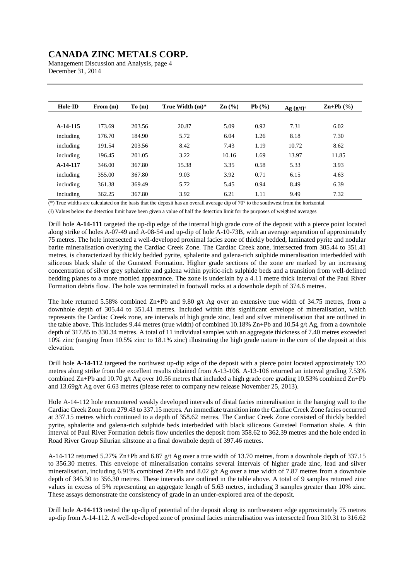Management Discussion and Analysis, page 4 December 31, 2014

| Hole-ID    | From $(m)$ | To(m)  | True Width $(m)^*$ | $\mathbf{Zn}$ (%) | Pb(%) | Ag (g/t) | $\mathbf{Zn} + \mathbf{Pb}$ (%) |
|------------|------------|--------|--------------------|-------------------|-------|----------|---------------------------------|
|            |            |        |                    |                   |       |          |                                 |
| A-14-115   | 173.69     | 203.56 | 20.87              | 5.09              | 0.92  | 7.31     | 6.02                            |
| including  | 176.70     | 184.90 | 5.72               | 6.04              | 1.26  | 8.18     | 7.30                            |
| including  | 191.54     | 203.56 | 8.42               | 7.43              | 1.19  | 10.72    | 8.62                            |
| including  | 196.45     | 201.05 | 3.22               | 10.16             | 1.69  | 13.97    | 11.85                           |
| $A-14-117$ | 346.00     | 367.80 | 15.38              | 3.35              | 0.58  | 5.33     | 3.93                            |
| including  | 355.00     | 367.80 | 9.03               | 3.92              | 0.71  | 6.15     | 4.63                            |
| including  | 361.38     | 369.49 | 5.72               | 5.45              | 0.94  | 8.49     | 6.39                            |
| including  | 362.25     | 367.80 | 3.92               | 6.21              | 1.11  | 9.49     | 7.32                            |

 $(*)$  True widths are calculated on the basis that the deposit has an overall average dip of 70 $\degree$  to the southwest from the horizontal

(†) Values below the detection limit have been given a value of half the detection limit for the purposes of weighted averages

Drill hole **A-14-111** targeted the up-dip edge of the internal high grade core of the deposit with a pierce point located along strike of holes A-07-49 and A-08-54 and up-dip of hole A-10-73B, with an average separation of approximately 75 metres. The hole intersected a well-developed proximal facies zone of thickly bedded, laminated pyrite and nodular barite mineralisation overlying the Cardiac Creek Zone. The Cardiac Creek zone, intersected from 305.44 to 351.41 metres, is characterized by thickly bedded pyrite, sphalerite and galena-rich sulphide mineralisation interbedded with siliceous black shale of the Gunsteel Formation. Higher grade sections of the zone are marked by an increasing concentration of silver grey sphalerite and galena within pyritic-rich sulphide beds and a transition from well-defined bedding planes to a more mottled appearance. The zone is underlain by a 4.11 metre thick interval of the Paul River Formation debris flow. The hole was terminated in footwall rocks at a downhole depth of 374.6 metres.

The hole returned 5.58% combined Zn+Pb and 9.80 g/t Ag over an extensive true width of 34.75 metres, from a downhole depth of 305.44 to 351.41 metres. Included within this significant envelope of mineralisation, which represents the Cardiac Creek zone, are intervals of high grade zinc, lead and silver mineralisation that are outlined in the table above. This includes 9.44 metres (true width) of combined 10.18% Zn+Pb and 10.54 g/t Ag, from a downhole depth of 317.85 to 330.34 metres. A total of 11 individual samples with an aggregate thickness of 7.40 metres exceeded 10% zinc (ranging from 10.5% zinc to 18.1% zinc) illustrating the high grade nature in the core of the deposit at this elevation.

Drill hole **A-14-112** targeted the northwest up-dip edge of the deposit with a pierce point located approximately 120 metres along strike from the excellent results obtained from A-13-106. A-13-106 returned an interval grading 7.53% combined Zn+Pb and 10.70 g/t Ag over 10.56 metres that included a high grade core grading 10.53% combined Zn+Pb and 13.69g/t Ag over 6.63 metres (please refer to company new release November 25, 2013).

Hole A-14-112 hole encountered weakly developed intervals of distal facies mineralisation in the hanging wall to the Cardiac Creek Zone from 279.43 to 337.15 metres. An immediate transition into the Cardiac Creek Zone facies occurred at 337.15 metres which continued to a depth of 358.62 metres. The Cardiac Creek Zone consisted of thickly bedded pyrite, sphalerite and galena-rich sulphide beds interbedded with black siliceous Gunsteel Formation shale. A thin interval of Paul River Formation debris flow underlies the deposit from 358.62 to 362.39 metres and the hole ended in Road River Group Silurian siltstone at a final downhole depth of 397.46 metres.

A-14-112 returned 5.27% Zn+Pb and 6.87 g/t Ag over a true width of 13.70 metres, from a downhole depth of 337.15 to 356.30 metres. This envelope of mineralisation contains several intervals of higher grade zinc, lead and silver mineralisation, including 6.91% combined Zn+Pb and 8.02 g/t Ag over a true width of 7.87 metres from a downhole depth of 345.30 to 356.30 metres. These intervals are outlined in the table above. A total of 9 samples returned zinc values in excess of 5% representing an aggregate length of 5.63 metres, including 3 samples greater than 10% zinc. These assays demonstrate the consistency of grade in an under-explored area of the deposit.

Drill hole **A-14-113** tested the up-dip of potential of the deposit along its northwestern edge approximately 75 metres up-dip from A-14-112. A well-developed zone of proximal facies mineralisation was intersected from 310.31 to 316.62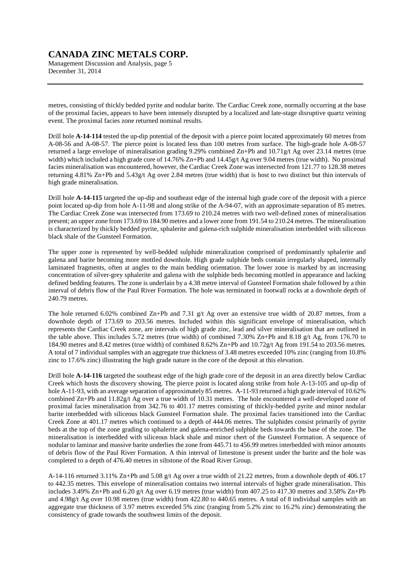Management Discussion and Analysis, page 5 December 31, 2014

metres, consisting of thickly bedded pyrite and nodular barite. The Cardiac Creek zone, normally occurring at the base of the proximal facies, appears to have been intensely disrupted by a localized and late-stage disruptive quartz veining event. The proximal facies zone returned nominal results.

Drill hole **A-14-114** tested the up-dip potential of the deposit with a pierce point located approximately 60 metres from A-08-56 and A-08-57. The pierce point is located less than 100 metres from surface. The high-grade hole A-08-57 returned a large envelope of mineralisation grading 9.29% combined Zn+Pb and 10.71g/t Ag over 23.14 metres (true width) which included a high grade core of 14.76% Zn+Pb and  $14.45g/t$  Ag over 9.04 metres (true width). No proximal facies mineralisation was encountered, however, the Cardiac Creek Zone was intersected from 121.77 to 128.38 metres returning 4.81% Zn+Pb and 5.43g/t Ag over 2.84 metres (true width) that is host to two distinct but thin intervals of high grade mineralisation.

Drill hole **A-14-115** targeted the up-dip and southeast edge of the internal high grade core of the deposit with a pierce point located up-dip from hole A-11-98 and along strike of the A-94-07, with an approximate separation of 85 metres. The Cardiac Creek Zone was intersected from 173.69 to 210.24 metres with two well-defined zones of mineralisation present; an upper zone from 173.69 to 184.90 metres and a lower zone from 191.54 to 210.24 metres. The mineralisation is characterized by thickly bedded pyrite, sphalerite and galena-rich sulphide mineralisation interbedded with siliceous black shale of the Gunsteel Formation.

The upper zone is represented by well-bedded sulphide mineralization comprised of predominantly sphalerite and galena and barite becoming more mottled downhole. High grade sulphide beds contain irregularly shaped, internally laminated fragments, often at angles to the main bedding orientation. The lower zone is marked by an increasing concentration of silver-grey sphalerite and galena with the sulphide beds becoming mottled in appearance and lacking defined bedding features. The zone is underlain by a 4.38 metre interval of Gunsteel Formation shale followed by a thin interval of debris flow of the Paul River Formation. The hole was terminated in footwall rocks at a downhole depth of 240.79 metres.

The hole returned 6.02% combined Zn+Pb and 7.31 g/t Ag over an extensive true width of 20.87 metres, from a downhole depth of 173.69 to 203.56 metres. Included within this significant envelope of mineralisation, which represents the Cardiac Creek zone, are intervals of high grade zinc, lead and silver mineralisation that are outlined in the table above. This includes 5.72 metres (true width) of combined 7.30%  $\text{Zn+Pb}$  and 8.18 g/t Ag, from 176.70 to 184.90 metres and 8.42 metres (true width) of combined 8.62% Zn+Pb and 10.72g/t Ag from 191.54 to 203.56 metres. A total of 7 individual samples with an aggregate true thickness of 3.48 metres exceeded 10% zinc (ranging from 10.8% zinc to 17.6% zinc) illustrating the high grade nature in the core of the deposit at this elevation.

Drill hole **A-14-116** targeted the southeast edge of the high grade core of the deposit in an area directly below Cardiac Creek which hosts the discovery showing. The pierce point is located along strike from hole A-13-105 and up-dip of hole A-11-93, with an average separation of approximately 85 metres. A-11-93 returned a high grade interval of 10.62% combined Zn+Pb and 11.82g/t Ag over a true width of 10.31 metres. The hole encountered a well-developed zone of proximal facies mineralisation from 342.76 to 401.17 metres consisting of thickly-bedded pyrite and minor nodular barite interbedded with siliceous black Gunsteel Formation shale. The proximal facies transitioned into the Cardiac Creek Zone at 401.17 metres which continued to a depth of 444.06 metres. The sulphides consist primarily of pyrite beds at the top of the zone grading to sphalerite and galena-enriched sulphide beds towards the base of the zone. The mineralisation is interbedded with siliceous black shale and minor chert of the Gunsteel Formation. A sequence of nodular to laminar and massive barite underlies the zone from 445.71 to 456.99 metres interbedded with minor amounts of debris flow of the Paul River Formation. A thin interval of limestone is present under the barite and the hole was completed to a depth of 476.40 metres in siltstone of the Road River Group.

A-14-116 returned 3.11% Zn+Pb and 5.08 g/t Ag over a true width of 21.22 metres, from a downhole depth of 406.17 to 442.35 metres. This envelope of mineralisation contains two internal intervals of higher grade mineralisation. This includes 3.49% Zn+Pb and 6.20 g/t Ag over 6.19 metres (true width) from 407.25 to 417.30 metres and 3.58% Zn+Pb and 4.98g/t Ag over 10.98 metres (true width) from 422.80 to 440.65 metres. A total of 8 individual samples with an aggregate true thickness of 3.97 metres exceeded 5% zinc (ranging from 5.2% zinc to 16.2% zinc) demonstrating the consistency of grade towards the southwest limits of the deposit.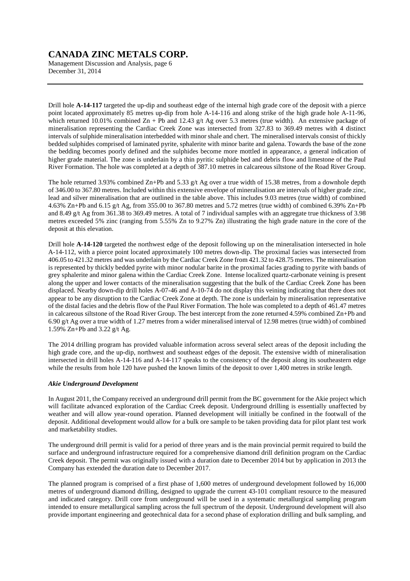Management Discussion and Analysis, page 6 December 31, 2014

Drill hole **A-14-117** targeted the up-dip and southeast edge of the internal high grade core of the deposit with a pierce point located approximately 85 metres up-dip from hole A-14-116 and along strike of the high grade hole A-11-96, which returned 10.01% combined  $Zn + Pb$  and 12.43 g/t Ag over 5.3 metres (true width). An extensive package of mineralisation representing the Cardiac Creek Zone was intersected from 327.83 to 369.49 metres with 4 distinct intervals of sulphide mineralisation interbedded with minor shale and chert. The mineralised intervals consist of thickly bedded sulphides comprised of laminated pyrite, sphalerite with minor barite and galena. Towards the base of the zone the bedding becomes poorly defined and the sulphides become more mottled in appearance, a general indication of higher grade material. The zone is underlain by a thin pyritic sulphide bed and debris flow and limestone of the Paul River Formation. The hole was completed at a depth of 387.10 metres in calcareous siltstone of the Road River Group.

The hole returned 3.93% combined Zn+Pb and 5.33 g/t Ag over a true width of 15.38 metres, from a downhole depth of 346.00 to 367.80 metres. Included within this extensive envelope of mineralisation are intervals of higher grade zinc, lead and silver mineralisation that are outlined in the table above. This includes 9.03 metres (true width) of combined 4.63% Zn+Pb and 6.15 g/t Ag, from 355.00 to 367.80 metres and 5.72 metres (true width) of combined 6.39% Zn+Pb and 8.49 g/t Ag from 361.38 to 369.49 metres. A total of 7 individual samples with an aggregate true thickness of 3.98 metres exceeded 5% zinc (ranging from 5.55% Zn to 9.27% Zn) illustrating the high grade nature in the core of the deposit at this elevation.

Drill hole **A-14-120** targeted the northwest edge of the deposit following up on the mineralisation intersected in hole A-14-112, with a pierce point located approximately 100 metres down-dip. The proximal facies was intersected from 406.05 to 421.32 metres and was underlain by the Cardiac Creek Zone from 421.32 to 428.75 metres. The mineralisation is represented by thickly bedded pyrite with minor nodular barite in the proximal facies grading to pyrite with bands of grey sphalerite and minor galena within the Cardiac Creek Zone. Intense localized quartz-carbonate veining is present along the upper and lower contacts of the mineralisation suggesting that the bulk of the Cardiac Creek Zone has been displaced. Nearby down-dip drill holes A-07-46 and A-10-74 do not display this veining indicating that there does not appear to be any disruption to the Cardiac Creek Zone at depth. The zone is underlain by mineralisation representative of the distal facies and the debris flow of the Paul River Formation. The hole was completed to a depth of 461.47 metres in calcareous siltstone of the Road River Group. The best intercept from the zone returned 4.59% combined Zn+Pb and 6.90 g/t Ag over a true width of 1.27 metres from a wider mineralised interval of 12.98 metres (true width) of combined 1.59% Zn+Pb and 3.22 g/t Ag.

The 2014 drilling program has provided valuable information across several select areas of the deposit including the high grade core, and the up-dip, northwest and southeast edges of the deposit. The extensive width of mineralisation intersected in drill holes A-14-116 and A-14-117 speaks to the consistency of the deposit along its southeastern edge while the results from hole 120 have pushed the known limits of the deposit to over 1,400 metres in strike length.

### *Akie Underground Development*

In August 2011, the Company received an underground drill permit from the BC government for the Akie project which will facilitate advanced exploration of the Cardiac Creek deposit. Underground drilling is essentially unaffected by weather and will allow year-round operation. Planned development will initially be confined in the footwall of the deposit. Additional development would allow for a bulk ore sample to be taken providing data for pilot plant test work and marketability studies.

The underground drill permit is valid for a period of three years and is the main provincial permit required to build the surface and underground infrastructure required for a comprehensive diamond drill definition program on the Cardiac Creek deposit. The permit was originally issued with a duration date to December 2014 but by application in 2013 the Company has extended the duration date to December 2017.

The planned program is comprised of a first phase of 1,600 metres of underground development followed by 16,000 metres of underground diamond drilling, designed to upgrade the current 43-101 compliant resource to the measured and indicated category. Drill core from underground will be used in a systematic metallurgical sampling program intended to ensure metallurgical sampling across the full spectrum of the deposit. Underground development will also provide important engineering and geotechnical data for a second phase of exploration drilling and bulk sampling, and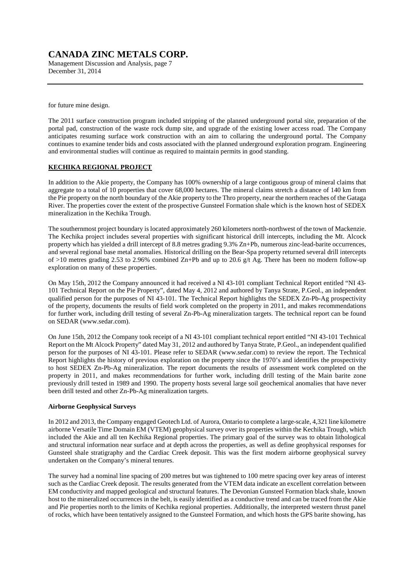Management Discussion and Analysis, page 7 December 31, 2014

for future mine design.

The 2011 surface construction program included stripping of the planned underground portal site, preparation of the portal pad, construction of the waste rock dump site, and upgrade of the existing lower access road. The Company anticipates resuming surface work construction with an aim to collaring the underground portal. The Company continues to examine tender bids and costs associated with the planned underground exploration program. Engineering and environmental studies will continue as required to maintain permits in good standing.

## **KECHIKA REGIONAL PROJECT**

In addition to the Akie property, the Company has 100% ownership of a large contiguous group of mineral claims that aggregate to a total of 10 properties that cover 68,000 hectares. The mineral claims stretch a distance of 140 km from the Pie property on the north boundary of the Akie property to the Thro property, near the northern reaches of the Gataga River. The properties cover the extent of the prospective Gunsteel Formation shale which is the known host of SEDEX mineralization in the Kechika Trough.

The southernmost project boundary is located approximately 260 kilometers north-northwest of the town of Mackenzie. The Kechika project includes several properties with significant historical drill intercepts, including the Mt. Alcock property which has yielded a drill intercept of 8.8 metres grading 9.3% Zn+Pb, numerous zinc-lead-barite occurrences, and several regional base metal anomalies. Historical drilling on the Bear-Spa property returned several drill intercepts of >10 metres grading 2.53 to 2.96% combined Zn+Pb and up to 20.6 g/t Ag. There has been no modern follow-up exploration on many of these properties.

On May 15th, 2012 the Company announced it had received a NI 43-101 compliant Technical Report entitled "NI 43- 101 Technical Report on the Pie Property", dated May 4, 2012 and authored by Tanya Strate, P.Geol., an independent qualified person for the purposes of NI 43-101. The Technical Report highlights the SEDEX Zn-Pb-Ag prospectivity of the property, documents the results of field work completed on the property in 2011, and makes recommendations for further work, including drill testing of several Zn-Pb-Ag mineralization targets. The technical report can be found on SEDAR (www.sedar.com).

On June 15th, 2012 the Company took receipt of a NI 43-101 compliant technical report entitled "NI 43-101 Technical Report on the Mt Alcock Property" dated May 31, 2012 and authored by Tanya Strate, P.Geol., an independent qualified person for the purposes of NI 43-101. Please refer to SEDAR (www.sedar.com) to review the report. The Technical Report highlights the history of previous exploration on the property since the 1970's and identifies the prospectivity to host SEDEX Zn-Pb-Ag mineralization. The report documents the results of assessment work completed on the property in 2011, and makes recommendations for further work, including drill testing of the Main barite zone previously drill tested in 1989 and 1990. The property hosts several large soil geochemical anomalies that have never been drill tested and other Zn-Pb-Ag mineralization targets.

### **Airborne Geophysical Surveys**

In 2012 and 2013, the Company engaged Geotech Ltd. of Aurora, Ontario to complete a large-scale, 4,321 line kilometre airborne Versatile Time Domain EM (VTEM) geophysical survey over its properties within the Kechika Trough, which included the Akie and all ten Kechika Regional properties. The primary goal of the survey was to obtain lithological and structural information near surface and at depth across the properties, as well as define geophysical responses for Gunsteel shale stratigraphy and the Cardiac Creek deposit. This was the first modern airborne geophysical survey undertaken on the Company's mineral tenures.

The survey had a nominal line spacing of 200 metres but was tightened to 100 metre spacing over key areas of interest such as the Cardiac Creek deposit. The results generated from the VTEM data indicate an excellent correlation between EM conductivity and mapped geological and structural features. The Devonian Gunsteel Formation black shale, known host to the mineralized occurrences in the belt, is easily identified as a conductive trend and can be traced from the Akie and Pie properties north to the limits of Kechika regional properties. Additionally, the interpreted western thrust panel of rocks, which have been tentatively assigned to the Gunsteel Formation, and which hosts the GPS barite showing, has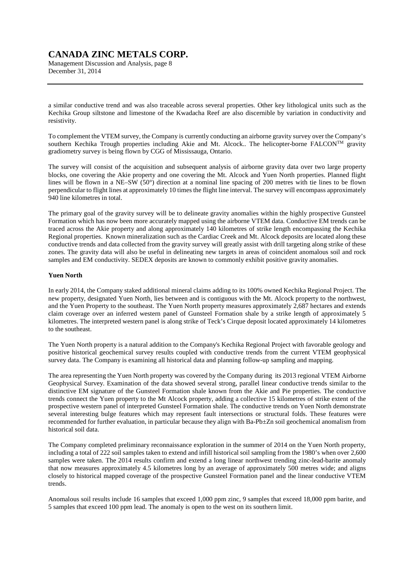Management Discussion and Analysis, page 8 December 31, 2014

a similar conductive trend and was also traceable across several properties. Other key lithological units such as the Kechika Group siltstone and limestone of the Kwadacha Reef are also discernible by variation in conductivity and resistivity.

To complement the VTEM survey, the Company is currently conducting an airborne gravity survey over the Company's southern Kechika Trough properties including Akie and Mt. Alcock.. The helicopter-borne FALCONTM gravity gradiometry survey is being flown by CGG of Mississauga, Ontario.

The survey will consist of the acquisition and subsequent analysis of airborne gravity data over two large property blocks, one covering the Akie property and one covering the Mt. Alcock and Yuen North properties. Planned flight lines will be flown in a NE–SW (50°) direction at a nominal line spacing of 200 metres with tie lines to be flown perpendicular to flight lines at approximately 10 times the flight line interval. The survey will encompass approximately 940 line kilometres in total.

The primary goal of the gravity survey will be to delineate gravity anomalies within the highly prospective Gunsteel Formation which has now been more accurately mapped using the airborne VTEM data. Conductive EM trends can be traced across the Akie property and along approximately 140 kilometres of strike length encompassing the Kechika Regional properties. Known mineralization such as the Cardiac Creek and Mt. Alcock deposits are located along these conductive trends and data collected from the gravity survey will greatly assist with drill targeting along strike of these zones. The gravity data will also be useful in delineating new targets in areas of coincident anomalous soil and rock samples and EM conductivity. SEDEX deposits are known to commonly exhibit positive gravity anomalies.

### **Yuen North**

In early 2014, the Company staked additional mineral claims adding to its 100% owned Kechika Regional Project. The new property, designated Yuen North, lies between and is contiguous with the Mt. Alcock property to the northwest, and the Yuen Property to the southeast. The Yuen North property measures approximately 2,687 hectares and extends claim coverage over an inferred western panel of Gunsteel Formation shale by a strike length of approximately 5 kilometres. The interpreted western panel is along strike of Teck's Cirque deposit located approximately 14 kilometres to the southeast.

The Yuen North property is a natural addition to the Company's Kechika Regional Project with favorable geology and positive historical geochemical survey results coupled with conductive trends from the current VTEM geophysical survey data. The Company is examining all historical data and planning follow-up sampling and mapping.

The area representing the Yuen North property was covered by the Company during its 2013 regional VTEM Airborne Geophysical Survey. Examination of the data showed several strong, parallel linear conductive trends similar to the distinctive EM signature of the Gunsteel Formation shale known from the Akie and Pie properties. The conductive trends connect the Yuen property to the Mt Alcock property, adding a collective 15 kilometres of strike extent of the prospective western panel of interpreted Gunsteel Formation shale. The conductive trends on Yuen North demonstrate several interesting bulge features which may represent fault intersections or structural folds. These features were recommended for further evaluation, in particular because they align with Ba-Pb±Zn soil geochemical anomalism from historical soil data.

The Company completed preliminary reconnaissance exploration in the summer of 2014 on the Yuen North property, including a total of 222 soil samples taken to extend and infill historical soil sampling from the 1980's when over 2,600 samples were taken. The 2014 results confirm and extend a long linear northwest trending zinc-lead-barite anomaly that now measures approximately 4.5 kilometres long by an average of approximately 500 metres wide; and aligns closely to historical mapped coverage of the prospective Gunsteel Formation panel and the linear conductive VTEM trends.

Anomalous soil results include 16 samples that exceed 1,000 ppm zinc, 9 samples that exceed 18,000 ppm barite, and 5 samples that exceed 100 ppm lead. The anomaly is open to the west on its southern limit.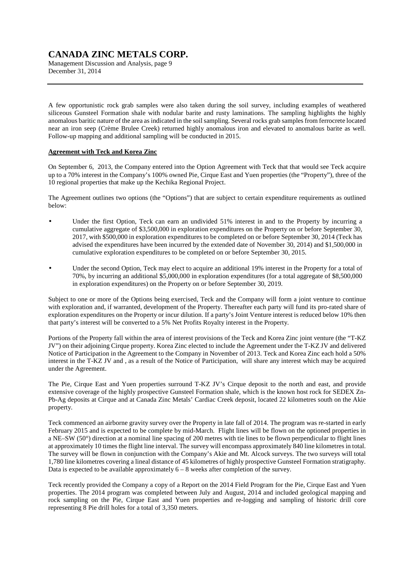Management Discussion and Analysis, page 9 December 31, 2014

A few opportunistic rock grab samples were also taken during the soil survey, including examples of weathered siliceous Gunsteel Formation shale with nodular barite and rusty laminations. The sampling highlights the highly anomalous baritic nature of the area as indicated in the soil sampling. Several rocks grab samples from ferrocrete located near an iron seep (Crème Brulee Creek) returned highly anomalous iron and elevated to anomalous barite as well. Follow-up mapping and additional sampling will be conducted in 2015.

### **Agreement with Teck and Korea Zinc**

On September 6, 2013, the Company entered into the Option Agreement with Teck that that would see Teck acquire up to a 70% interest in the Company's 100% owned Pie, Cirque East and Yuen properties (the "Property"), three of the 10 regional properties that make up the Kechika Regional Project.

The Agreement outlines two options (the "Options") that are subject to certain expenditure requirements as outlined below:

- Under the first Option, Teck can earn an undivided 51% interest in and to the Property by incurring a cumulative aggregate of \$3,500,000 in exploration expenditures on the Property on or before September 30, 2017, with \$500,000 in exploration expenditures to be completed on or before September 30, 2014 (Teck has advised the expenditures have been incurred by the extended date of November 30, 2014) and \$1,500,000 in cumulative exploration expenditures to be completed on or before September 30, 2015.
- Under the second Option, Teck may elect to acquire an additional 19% interest in the Property for a total of 70%, by incurring an additional \$5,000,000 in exploration expenditures (for a total aggregate of \$8,500,000 in exploration expenditures) on the Property on or before September 30, 2019.

Subject to one or more of the Options being exercised, Teck and the Company will form a joint venture to continue with exploration and, if warranted, development of the Property. Thereafter each party will fund its pro-rated share of exploration expenditures on the Property or incur dilution. If a party's Joint Venture interest is reduced below 10% then that party's interest will be converted to a 5% Net Profits Royalty interest in the Property.

Portions of the Property fall within the area of interest provisions of the Teck and Korea Zinc joint venture (the "T-KZ JV") on their adjoining Cirque property. Korea Zinc elected to include the Agreement under the T-KZ JV and delivered Notice of Participation in the Agreement to the Company in November of 2013. Teck and Korea Zinc each hold a 50% interest in the T-KZ JV and , as a result of the Notice of Participation, will share any interest which may be acquired under the Agreement.

The Pie, Cirque East and Yuen properties surround T-KZ JV's Cirque deposit to the north and east, and provide extensive coverage of the highly prospective Gunsteel Formation shale, which is the known host rock for SEDEX Zn-Pb-Ag deposits at Cirque and at Canada Zinc Metals' Cardiac Creek deposit, located 22 kilometres south on the Akie property.

Teck commenced an airborne gravity survey over the Property in late fall of 2014. The program was re-started in early February 2015 and is expected to be complete by mid-March. Flight lines will be flown on the optioned properties in a NE–SW (50°) direction at a nominal line spacing of 200 metres with tie lines to be flown perpendicular to flight lines at approximately 10 times the flight line interval. The survey will encompass approximately 840 line kilometres in total. The survey will be flown in conjunction with the Company's Akie and Mt. Alcock surveys. The two surveys will total 1,780 line kilometres covering a lineal distance of 45 kilometres of highly prospective Gunsteel Formation stratigraphy. Data is expected to be available approximately  $6 - 8$  weeks after completion of the survey.

Teck recently provided the Company a copy of a Report on the 2014 Field Program for the Pie, Cirque East and Yuen properties. The 2014 program was completed between July and August, 2014 and included geological mapping and rock sampling on the Pie, Cirque East and Yuen properties and re-logging and sampling of historic drill core representing 8 Pie drill holes for a total of 3,350 meters.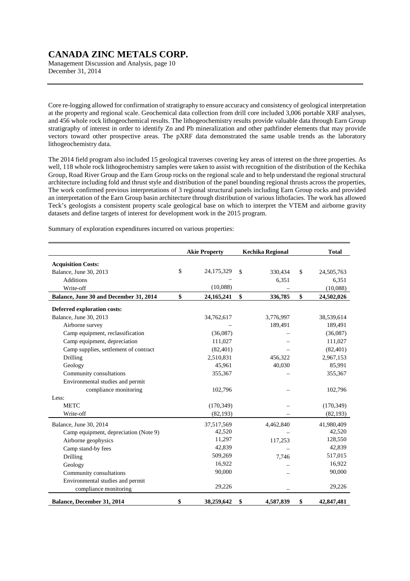Management Discussion and Analysis, page 10 December 31, 2014

Core re-logging allowed for confirmation of stratigraphy to ensure accuracy and consistency of geological interpretation at the property and regional scale. Geochemical data collection from drill core included 3,006 portable XRF analyses, and 456 whole rock lithogeochemical results. The lithogeochemistry results provide valuable data through Earn Group stratigraphy of interest in order to identify Zn and Pb mineralization and other pathfinder elements that may provide vectors toward other prospective areas. The pXRF data demonstrated the same usable trends as the laboratory lithogeochemistry data.

The 2014 field program also included 15 geological traverses covering key areas of interest on the three properties. As well, 118 whole rock lithogeochemistry samples were taken to assist with recognition of the distribution of the Kechika Group, Road River Group and the Earn Group rocks on the regional scale and to help understand the regional structural architecture including fold and thrust style and distribution of the panel bounding regional thrusts across the properties, The work confirmed previous interpretations of 3 regional structural panels including Earn Group rocks and provided an interpretation of the Earn Group basin architecture through distribution of various lithofacies. The work has allowed Teck's geologists a consistent property scale geological base on which to interpret the VTEM and airborne gravity datasets and define targets of interest for development work in the 2015 program.

Summary of exploration expenditures incurred on various properties:

|                                        | <b>Akie Property</b> | <b>Kechika Regional</b> |              | <b>Total</b> |
|----------------------------------------|----------------------|-------------------------|--------------|--------------|
| <b>Acquisition Costs:</b>              |                      |                         |              |              |
| Balance, June 30, 2013                 | \$<br>24,175,329     | \$<br>330,434           | $\mathbb{S}$ | 24,505,763   |
| <b>Additions</b>                       |                      | 6,351                   |              | 6,351        |
| Write-off                              | (10,088)             |                         |              | (10,088)     |
| Balance, June 30 and December 31, 2014 | \$<br>24, 165, 241   | \$<br>336,785           | \$           | 24,502,026   |
| Deferred exploration costs:            |                      |                         |              |              |
| Balance, June 30, 2013                 | 34,762,617           | 3,776,997               |              | 38,539,614   |
| Airborne survey                        |                      | 189,491                 |              | 189,491      |
| Camp equipment, reclassification       | (36,087)             |                         |              | (36,087)     |
| Camp equipment, depreciation           | 111,027              |                         |              | 111,027      |
| Camp supplies, settlement of contract  | (82, 401)            |                         |              | (82, 401)    |
| Drilling                               | 2,510,831            | 456,322                 |              | 2,967,153    |
| Geology                                | 45,961               | 40,030                  |              | 85,991       |
| Community consultations                | 355,367              |                         |              | 355,367      |
| Environmental studies and permit       |                      |                         |              |              |
| compliance monitoring                  | 102,796              |                         |              | 102,796      |
| Less:                                  |                      |                         |              |              |
| <b>METC</b>                            | (170, 349)           |                         |              | (170, 349)   |
| Write-off                              | (82, 193)            |                         |              | (82, 193)    |
| Balance, June 30, 2014                 | 37,517,569           | 4,462,840               |              | 41,980,409   |
| Camp equipment, depreciation (Note 9)  | 42,520               |                         |              | 42,520       |
| Airborne geophysics                    | 11,297               | 117,253                 |              | 128,550      |
| Camp stand-by fees                     | 42,839               |                         |              | 42,839       |
| Drilling                               | 509,269              | 7,746                   |              | 517,015      |
| Geology                                | 16,922               |                         |              | 16,922       |
| Community consultations                | 90,000               |                         |              | 90,000       |
| Environmental studies and permit       |                      |                         |              |              |
| compliance monitoring                  | 29,226               |                         |              | 29,226       |
| Balance, December 31, 2014             | \$<br>38,259,642     | 4,587,839<br>\$         | \$           | 42,847,481   |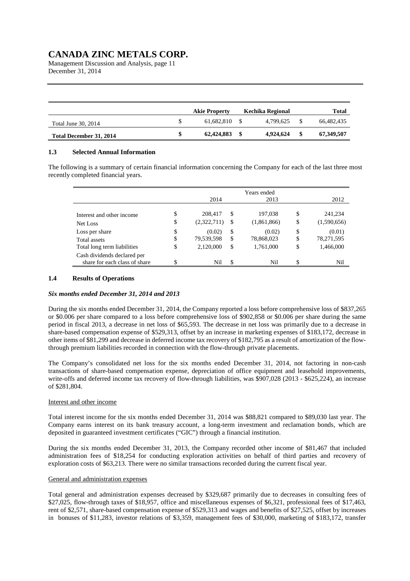Management Discussion and Analysis, page 11 December 31, 2014

|                         | <b>Akie Property</b> | Kechika Regional |      | Total      |
|-------------------------|----------------------|------------------|------|------------|
| Total June 30, 2014     | 61.682.810           | 4.799.625        |      | 66.482.435 |
| Total December 31, 2014 | 62,424,883           | 4.924.624        | - \$ | 67,349,507 |

### **1.3 Selected Annual Information**

The following is a summary of certain financial information concerning the Company for each of the last three most recently completed financial years.

|                                                              |          | 2014                   |          | Years ended<br>2013    |          | 2012                   |
|--------------------------------------------------------------|----------|------------------------|----------|------------------------|----------|------------------------|
| Interest and other income<br>Net Loss                        | \$<br>\$ | 208,417<br>(2,322,711) | \$<br>\$ | 197,038<br>(1,861,866) | \$<br>\$ | 241,234<br>(1,590,656) |
| Loss per share<br>Total assets                               | \$<br>\$ | (0.02)<br>79,539,598   | \$<br>\$ | (0.02)<br>78,868,023   | \$<br>\$ | (0.01)<br>78,271,595   |
| Total long term liabilities                                  | \$       | 2,120,000              | \$       | 1,761,000              | \$       | 1,466,000              |
| Cash dividends declared per<br>share for each class of share | \$       | Nil                    | \$       | Nil                    | \$       | Nil                    |

### **1.4 Results of Operations**

#### *Six months ended December 31, 2014 and 2013*

During the six months ended December 31, 2014, the Company reported a loss before comprehensive loss of \$837,265 or \$0.006 per share compared to a loss before comprehensive loss of \$902,858 or \$0.006 per share during the same period in fiscal 2013, a decrease in net loss of \$65,593. The decrease in net loss was primarily due to a decrease in share-based compensation expense of \$529,313, offset by an increase in marketing expenses of \$183,172, decrease in other items of \$81,299 and decrease in deferred income tax recovery of \$182,795 as a result of amortization of the flowthrough premium liabilities recorded in connection with the flow-through private placements.

The Company's consolidated net loss for the six months ended December 31, 2014, not factoring in non-cash transactions of share-based compensation expense, depreciation of office equipment and leasehold improvements, write-offs and deferred income tax recovery of flow-through liabilities, was \$907,028 (2013 - \$625,224), an increase of \$281,804.

#### Interest and other income

Total interest income for the six months ended December 31, 2014 was \$88,821 compared to \$89,030 last year. The Company earns interest on its bank treasury account, a long-term investment and reclamation bonds, which are deposited in guaranteed investment certificates ("GIC") through a financial institution.

During the six months ended December 31, 2013, the Company recorded other income of \$81,467 that included administration fees of \$18,254 for conducting exploration activities on behalf of third parties and recovery of exploration costs of \$63,213. There were no similar transactions recorded during the current fiscal year.

## General and administration expenses

Total general and administration expenses decreased by \$329,687 primarily due to decreases in consulting fees of \$27,025, flow-through taxes of \$18,957, office and miscellaneous expenses of \$6,321, professional fees of \$17,463, rent of \$2,571, share-based compensation expense of \$529,313 and wages and benefits of \$27,525, offset by increases in bonuses of \$11,283, investor relations of \$3,359, management fees of \$30,000, marketing of \$183,172, transfer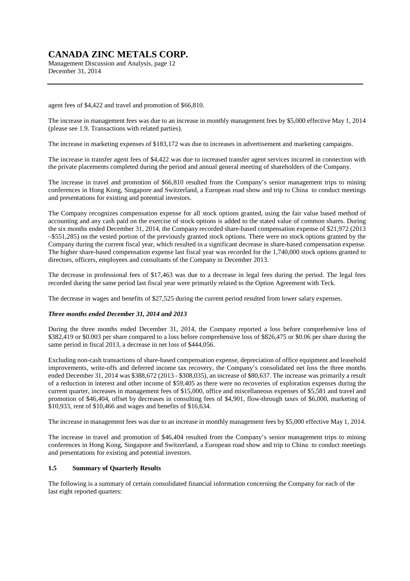Management Discussion and Analysis, page 12 December 31, 2014

agent fees of \$4,422 and travel and promotion of \$66,810.

The increase in management fees was due to an increase in monthly management fees by \$5,000 effective May 1, 2014 (please see 1.9. Transactions with related parties).

The increase in marketing expenses of \$183,172 was due to increases in advertisement and marketing campaigns.

The increase in transfer agent fees of \$4,422 was due to increased transfer agent services incurred in connection with the private placements completed during the period and annual general meeting of shareholders of the Company.

The increase in travel and promotion of \$66,810 resulted from the Company's senior management trips to mining conferences in Hong Kong, Singapore and Switzerland, a European road show and trip to China to conduct meetings and presentations for existing and potential investors.

The Company recognizes compensation expense for all stock options granted, using the fair value based method of accounting and any cash paid on the exercise of stock options is added to the stated value of common shares. During the six months ended December 31, 2014, the Company recorded share-based compensation expense of \$21,972 (2013 –\$551,285) on the vested portion of the previously granted stock options. There were no stock options granted by the Company during the current fiscal year, which resulted in a significant decrease in share-based compensation expense. The higher share-based compensation expense last fiscal year was recorded for the 1,740,000 stock options granted to directors, officers, employees and consultants of the Company in December 2013.

The decrease in professional fees of \$17,463 was due to a decrease in legal fees during the period. The legal fees recorded during the same period last fiscal year were primarily related to the Option Agreement with Teck.

The decrease in wages and benefits of \$27,525 during the current period resulted from lower salary expenses.

### *Three months ended December 31, 2014 and 2013*

During the three months ended December 31, 2014, the Company reported a loss before comprehensive loss of \$382,419 or \$0.003 per share compared to a loss before comprehensive loss of \$826,475 or \$0.06 per share during the same period in fiscal 2013, a decrease in net loss of \$444,056.

Excluding non-cash transactions of share-based compensation expense, depreciation of office equipment and leasehold improvements, write-offs and deferred income tax recovery, the Company's consolidated net loss the three months ended December 31, 2014 was \$388,672 (2013 - \$308,035), an increase of \$80,637. The increase was primarily a result of a reduction in interest and other income of \$59,405 as there were no recoveries of exploration expenses during the current quarter, increases in management fees of \$15,000, office and miscellaneous expenses of \$5,581 and travel and promotion of \$46,404, offset by decreases in consulting fees of \$4,901, flow-through taxes of \$6,000, marketing of \$10,933, rent of \$10,466 and wages and benefits of \$16,634.

The increase in management fees was due to an increase in monthly management fees by \$5,000 effective May 1, 2014.

The increase in travel and promotion of \$46,404 resulted from the Company's senior management trips to mining conferences in Hong Kong, Singapore and Switzerland, a European road show and trip to China to conduct meetings and presentations for existing and potential investors.

### **1.5 Summary of Quarterly Results**

The following is a summary of certain consolidated financial information concerning the Company for each of the last eight reported quarters: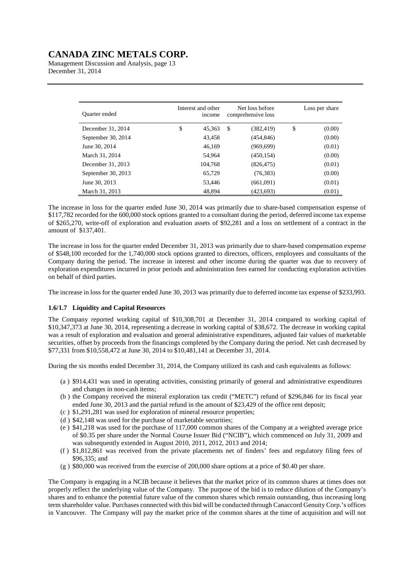Management Discussion and Analysis, page 13 December 31, 2014

| <b>Ouarter</b> ended | Interest and other<br>income | Net loss before<br>comprehensive loss | Loss per share |
|----------------------|------------------------------|---------------------------------------|----------------|
| December 31, 2014    | \$<br>45.363                 | \$<br>(382, 419)                      | \$<br>(0.00)   |
| September 30, 2014   | 43.458                       | (454, 846)                            | (0.00)         |
| June 30, 2014        | 46.169                       | (969, 699)                            | (0.01)         |
| March 31, 2014       | 54,964                       | (450, 154)                            | (0.00)         |
| December 31, 2013    | 104.768                      | (826, 475)                            | (0.01)         |
| September 30, 2013   | 65,729                       | (76, 383)                             | (0.00)         |
| June 30, 2013        | 53.446                       | (661,091)                             | (0.01)         |
| March 31, 2013       | 48.894                       | (423, 693)                            | (0.01)         |

The increase in loss for the quarter ended June 30, 2014 was primarily due to share-based compensation expense of \$117,782 recorded for the 600,000 stock options granted to a consultant during the period, deferred income tax expense of \$265,270, write-off of exploration and evaluation assets of \$92,281 and a loss on settlement of a contract in the amount of \$137,401.

The increase in loss for the quarter ended December 31, 2013 was primarily due to share-based compensation expense of \$548,100 recorded for the 1,740,000 stock options granted to directors, officers, employees and consultants of the Company during the period. The increase in interest and other income during the quarter was due to recovery of exploration expenditures incurred in prior periods and administration fees earned for conducting exploration activities on behalf of third parties.

The increase in loss for the quarter ended June 30, 2013 was primarily due to deferred income tax expense of \$233,993.

### **1.6/1.7 Liquidity and Capital Resources**

The Company reported working capital of \$10,308,701 at December 31, 2014 compared to working capital of \$10,347,373 at June 30, 2014, representing a decrease in working capital of \$38,672. The decrease in working capital was a result of exploration and evaluation and general administrative expenditures, adjusted fair values of marketable securities, offset by proceeds from the financings completed by the Company during the period. Net cash decreased by \$77,331 from \$10,558,472 at June 30, 2014 to \$10,481,141 at December 31, 2014.

During the six months ended December 31, 2014, the Company utilized its cash and cash equivalents as follows:

- (a ) \$914,431 was used in operating activities, consisting primarily of general and administrative expenditures and changes in non-cash items;
- (b ) the Company received the mineral exploration tax credit ("METC") refund of \$296,846 for its fiscal year ended June 30, 2013 and the partial refund in the amount of \$23,429 of the office rent deposit;
- (c ) \$1,291,281 was used for exploration of mineral resource properties;
- (d ) \$42,148 was used for the purchase of marketable securities;
- (e ) \$41,218 was used for the purchase of 117,000 common shares of the Company at a weighted average price of \$0.35 per share under the Normal Course Issuer Bid ("NCIB"), which commenced on July 31, 2009 and was subsequently extended in August 2010, 2011, 2012, 2013 and 2014;
- (f ) \$1,812,861 was received from the private placements net of finders' fees and regulatory filing fees of \$96,335; and
- (g ) \$80,000 was received from the exercise of 200,000 share options at a price of \$0.40 per share.

The Company is engaging in a NCIB because it believes that the market price of its common shares at times does not properly reflect the underlying value of the Company. The purpose of the bid is to reduce dilution of the Company's shares and to enhance the potential future value of the common shares which remain outstanding, thus increasing long term shareholder value. Purchases connected with this bid will be conducted through Canaccord Genuity Corp.'s offices in Vancouver. The Company will pay the market price of the common shares at the time of acquisition and will not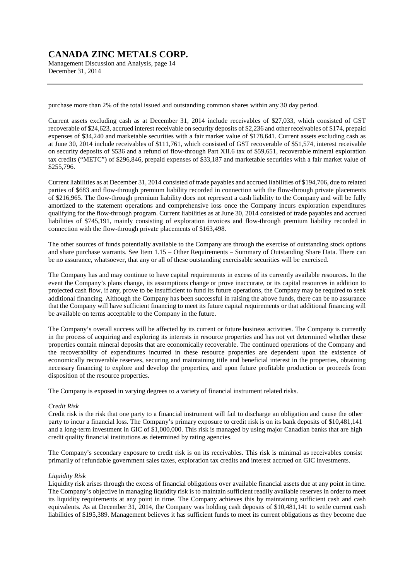Management Discussion and Analysis, page 14 December 31, 2014

purchase more than 2% of the total issued and outstanding common shares within any 30 day period.

Current assets excluding cash as at December 31, 2014 include receivables of \$27,033, which consisted of GST recoverable of \$24,623, accrued interest receivable on security deposits of \$2,236 and other receivables of \$174, prepaid expenses of \$34,240 and marketable securities with a fair market value of \$178,641. Current assets excluding cash as at June 30, 2014 include receivables of \$111,761, which consisted of GST recoverable of \$51,574, interest receivable on security deposits of \$536 and a refund of flow-through Part XII.6 tax of \$59,651, recoverable mineral exploration tax credits ("METC") of \$296,846, prepaid expenses of \$33,187 and marketable securities with a fair market value of \$255,796.

Current liabilities as at December 31, 2014 consisted of trade payables and accrued liabilities of \$194,706, due to related parties of \$683 and flow-through premium liability recorded in connection with the flow-through private placements of \$216,965. The flow-through premium liability does not represent a cash liability to the Company and will be fully amortized to the statement operations and comprehensive loss once the Company incurs exploration expenditures qualifying for the flow-through program. Current liabilities as at June 30, 2014 consisted of trade payables and accrued liabilities of \$745,191, mainly consisting of exploration invoices and flow-through premium liability recorded in connection with the flow-through private placements of \$163,498.

The other sources of funds potentially available to the Company are through the exercise of outstanding stock options and share purchase warrants. See Item 1.15 – Other Requirements – Summary of Outstanding Share Data. There can be no assurance, whatsoever, that any or all of these outstanding exercisable securities will be exercised.

The Company has and may continue to have capital requirements in excess of its currently available resources. In the event the Company's plans change, its assumptions change or prove inaccurate, or its capital resources in addition to projected cash flow, if any, prove to be insufficient to fund its future operations, the Company may be required to seek additional financing. Although the Company has been successful in raising the above funds, there can be no assurance that the Company will have sufficient financing to meet its future capital requirements or that additional financing will be available on terms acceptable to the Company in the future.

The Company's overall success will be affected by its current or future business activities. The Company is currently in the process of acquiring and exploring its interests in resource properties and has not yet determined whether these properties contain mineral deposits that are economically recoverable. The continued operations of the Company and the recoverability of expenditures incurred in these resource properties are dependent upon the existence of economically recoverable reserves, securing and maintaining title and beneficial interest in the properties, obtaining necessary financing to explore and develop the properties, and upon future profitable production or proceeds from disposition of the resource properties.

The Company is exposed in varying degrees to a variety of financial instrument related risks.

#### *Credit Risk*

Credit risk is the risk that one party to a financial instrument will fail to discharge an obligation and cause the other party to incur a financial loss. The Company's primary exposure to credit risk is on its bank deposits of \$10,481,141 and a long-term investment in GIC of \$1,000,000. This risk is managed by using major Canadian banks that are high credit quality financial institutions as determined by rating agencies.

The Company's secondary exposure to credit risk is on its receivables. This risk is minimal as receivables consist primarily of refundable government sales taxes, exploration tax credits and interest accrued on GIC investments.

#### *Liquidity Risk*

Liquidity risk arises through the excess of financial obligations over available financial assets due at any point in time. The Company's objective in managing liquidity risk is to maintain sufficient readily available reserves in order to meet its liquidity requirements at any point in time. The Company achieves this by maintaining sufficient cash and cash equivalents. As at December 31, 2014, the Company was holding cash deposits of \$10,481,141 to settle current cash liabilities of \$195,389. Management believes it has sufficient funds to meet its current obligations as they become due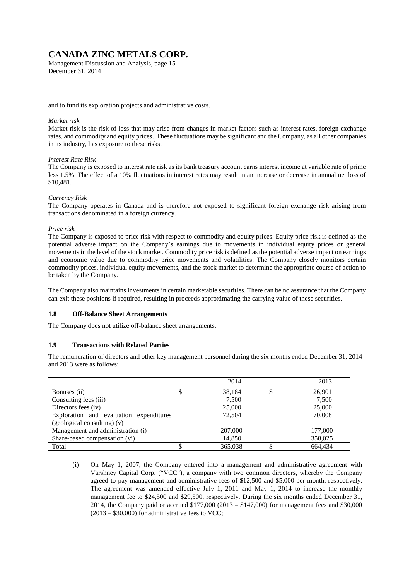Management Discussion and Analysis, page 15 December 31, 2014

and to fund its exploration projects and administrative costs.

#### *Market risk*

Market risk is the risk of loss that may arise from changes in market factors such as interest rates, foreign exchange rates, and commodity and equity prices. These fluctuations may be significant and the Company, as all other companies in its industry, has exposure to these risks.

#### *Interest Rate Risk*

The Company is exposed to interest rate risk as its bank treasury account earns interest income at variable rate of prime less 1.5%. The effect of a 10% fluctuations in interest rates may result in an increase or decrease in annual net loss of \$10,481.

#### *Currency Risk*

The Company operates in Canada and is therefore not exposed to significant foreign exchange risk arising from transactions denominated in a foreign currency.

#### *Price risk*

The Company is exposed to price risk with respect to commodity and equity prices. Equity price risk is defined as the potential adverse impact on the Company's earnings due to movements in individual equity prices or general movements in the level of the stock market. Commodity price risk is defined as the potential adverse impact on earnings and economic value due to commodity price movements and volatilities. The Company closely monitors certain commodity prices, individual equity movements, and the stock market to determine the appropriate course of action to be taken by the Company.

The Company also maintains investments in certain marketable securities. There can be no assurance that the Company can exit these positions if required, resulting in proceeds approximating the carrying value of these securities.

#### **1.8 Off-Balance Sheet Arrangements**

The Company does not utilize off-balance sheet arrangements.

#### **1.9 Transactions with Related Parties**

The remuneration of directors and other key management personnel during the six months ended December 31, 2014 and 2013 were as follows:

|                                         |   | 2014    | 2013    |
|-----------------------------------------|---|---------|---------|
| Bonuses (ii)                            | Φ | 38.184  | 26,901  |
| Consulting fees (iii)                   |   | 7,500   | 7,500   |
| Directors fees (iv)                     |   | 25,000  | 25,000  |
| Exploration and evaluation expenditures |   | 72,504  | 70,008  |
| (geological consulting) (v)             |   |         |         |
| Management and administration (i)       |   | 207,000 | 177,000 |
| Share-based compensation (vi)           |   | 14,850  | 358,025 |
| Total                                   |   | 365,038 | 664.434 |

<sup>(</sup>i) On May 1, 2007, the Company entered into a management and administrative agreement with Varshney Capital Corp. ("VCC"), a company with two common directors, whereby the Company agreed to pay management and administrative fees of \$12,500 and \$5,000 per month, respectively. The agreement was amended effective July 1, 2011 and May 1, 2014 to increase the monthly management fee to \$24,500 and \$29,500, respectively. During the six months ended December 31, 2014, the Company paid or accrued \$177,000 (2013 – \$147,000) for management fees and \$30,000  $(2013 - $30,000)$  for administrative fees to VCC;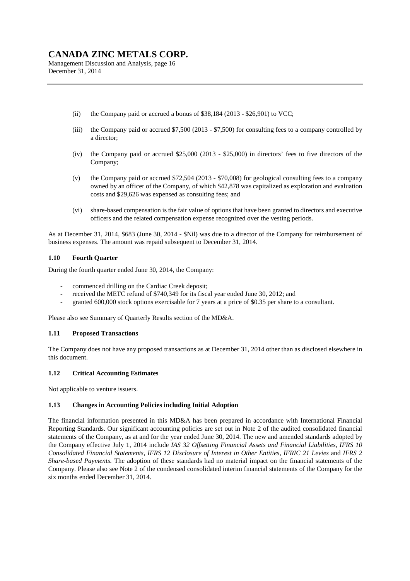Management Discussion and Analysis, page 16 December 31, 2014

- (ii) the Company paid or accrued a bonus of  $$38,184 (2013 $26,901)$  to VCC;
- (iii) the Company paid or accrued \$7,500 (2013 \$7,500) for consulting fees to a company controlled by a director;
- (iv) the Company paid or accrued \$25,000 (2013 \$25,000) in directors' fees to five directors of the Company;
- (v) the Company paid or accrued \$72,504 (2013 \$70,008) for geological consulting fees to a company owned by an officer of the Company, of which \$42,878 was capitalized as exploration and evaluation costs and \$29,626 was expensed as consulting fees; and
- (vi) share-based compensation is the fair value of options that have been granted to directors and executive officers and the related compensation expense recognized over the vesting periods.

As at December 31, 2014, \$683 (June 30, 2014 - \$Nil) was due to a director of the Company for reimbursement of business expenses. The amount was repaid subsequent to December 31, 2014.

## **1.10 Fourth Quarter**

During the fourth quarter ended June 30, 2014, the Company:

- commenced drilling on the Cardiac Creek deposit;
- received the METC refund of \$740,349 for its fiscal year ended June 30, 2012; and
- granted 600,000 stock options exercisable for 7 years at a price of \$0.35 per share to a consultant.

Please also see Summary of Quarterly Results section of the MD&A.

### **1.11 Proposed Transactions**

The Company does not have any proposed transactions as at December 31, 2014 other than as disclosed elsewhere in this document.

### **1.12 Critical Accounting Estimates**

Not applicable to venture issuers.

### **1.13 Changes in Accounting Policies including Initial Adoption**

The financial information presented in this MD&A has been prepared in accordance with International Financial Reporting Standards. Our significant accounting policies are set out in Note 2 of the audited consolidated financial statements of the Company, as at and for the year ended June 30, 2014. The new and amended standards adopted by the Company effective July 1, 2014 include *IAS 32 Offsetting Financial Assets and Financial Liabilities, IFRS 10 Consolidated Financial Statements, IFRS 12 Disclosure of Interest in Other Entities, IFRIC 21 Levies* and *IFRS 2 Share-based Payments.* The adoption of these standards had no material impact on the financial statements of the Company. Please also see Note 2 of the condensed consolidated interim financial statements of the Company for the six months ended December 31, 2014.